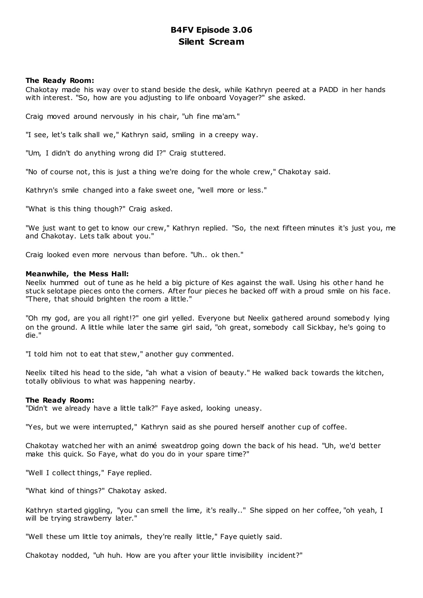# **B4FV Episode 3.06 Silent Scream**

# **The Ready Room:**

Chakotay made his way over to stand beside the desk, while Kathryn peered at a PADD in her hands with interest. "So, how are you adjusting to life onboard Voyager?" she asked.

Craig moved around nervously in his chair, "uh fine ma'am."

"I see, let's talk shall we," Kathryn said, smiling in a creepy way.

"Um, I didn't do anything wrong did I?" Craig stuttered.

"No of course not, this is just a thing we're doing for the whole crew," Chakotay said.

Kathryn's smile changed into a fake sweet one, "well more or less."

"What is this thing though?" Craig asked.

"We just want to get to know our crew," Kathryn replied. "So, the next fifteen minutes it's just you, me and Chakotay. Lets talk about you."

Craig looked even more nervous than before. "Uh.. ok then."

#### **Meanwhile, the Mess Hall:**

Neelix hummed out of tune as he held a big picture of Kes against the wall. Using his other hand he stuck selotape pieces onto the corners. After four pieces he backed off with a proud smile on his face. "There, that should brighten the room a little."

"Oh my god, are you all right!?" one girl yelled. Everyone but Neelix gathered around somebody lying on the ground. A little while later the same girl said, "oh great, somebody call Sickbay, he's going to die."

"I told him not to eat that stew," another guy commented.

Neelix tilted his head to the side, "ah what a vision of beauty." He walked back towards the kitchen, totally oblivious to what was happening nearby.

#### **The Ready Room:**

"Didn't we already have a little talk?" Faye asked, looking uneasy.

"Yes, but we were interrupted," Kathryn said as she poured herself another cup of coffee.

Chakotay watched her with an animé sweatdrop going down the back of his head. "Uh, we'd better make this quick. So Faye, what do you do in your spare time?"

"Well I collect things," Faye replied.

"What kind of things?" Chakotay asked.

Kathryn started giggling, "you can smell the lime, it's really.." She sipped on her coffee, "oh yeah, I will be trying strawberry later."

"Well these um little toy animals, they're really little," Faye quietly said.

Chakotay nodded, "uh huh. How are you after your little invisibility incident?"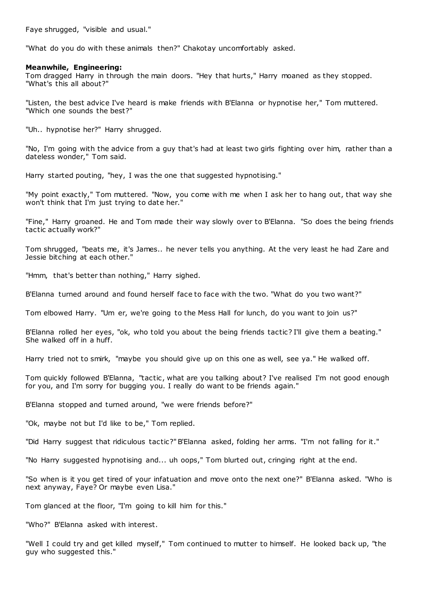Faye shrugged, "visible and usual."

"What do you do with these animals then?" Chakotay uncomfortably asked.

#### **Meanwhile, Engineering:**

Tom dragged Harry in through the main doors. "Hey that hurts," Harry moaned as they stopped. "What's this all about?"

"Listen, the best advice I've heard is make friends with B'Elanna or hypnotise her," Tom muttered. "Which one sounds the best?"

"Uh.. hypnotise her?" Harry shrugged.

"No, I'm going with the advice from a guy that's had at least two girls fighting over him, rather than a dateless wonder," Tom said.

Harry started pouting, "hey, I was the one that suggested hypnotising."

"My point exactly," Tom muttered. "Now, you come with me when I ask her to hang out, that way she won't think that I'm just trying to date her."

"Fine," Harry groaned. He and Tom made their way slowly over to B'Elanna. "So does the being friends tactic actually work?"

Tom shrugged, "beats me, it's James.. he never tells you anything. At the very least he had Zare and Jessie bitching at each other."

"Hmm, that's better than nothing," Harry sighed.

B'Elanna turned around and found herself face to face with the two. "What do you two want?"

Tom elbowed Harry. "Um er, we're going to the Mess Hall for lunch, do you want to join us?"

B'Elanna rolled her eyes, "ok, who told you about the being friends tactic? I'll give them a beating." She walked off in a huff.

Harry tried not to smirk, "maybe you should give up on this one as well, see ya." He walked off.

Tom quickly followed B'Elanna, "tactic, what are you talking about? I've realised I'm not good enough for you, and I'm sorry for bugging you. I really do want to be friends again."

B'Elanna stopped and turned around, "we were friends before?"

"Ok, maybe not but I'd like to be," Tom replied.

"Did Harry suggest that ridiculous tactic?" B'Elanna asked, folding her arms. "I'm not falling for it."

"No Harry suggested hypnotising and... uh oops," Tom blurted out, cringing right at the end.

"So when is it you get tired of your infatuation and move onto the next one?" B'Elanna asked. "Who is next anyway, Faye? Or maybe even Lisa."

Tom glanced at the floor, "I'm going to kill him for this."

"Who?" B'Elanna asked with interest.

"Well I could try and get killed myself," Tom continued to mutter to himself. He looked back up, "the guy who suggested this."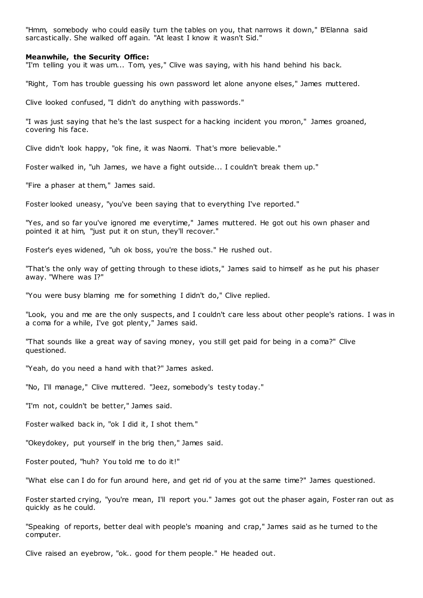"Hmm, somebody who could easily turn the tables on you, that narrows it down," B'Elanna said sarcastically. She walked off again. "At least I know it wasn't Sid."

#### **Meanwhile, the Security Office:**

"I'm telling you it was um... Tom, yes," Clive was saying, with his hand behind his back.

"Right, Tom has trouble guessing his own password let alone anyone elses," James muttered.

Clive looked confused, "I didn't do anything with passwords."

"I was just saying that he's the last suspect for a hacking incident you moron," James groaned, covering his face.

Clive didn't look happy, "ok fine, it was Naomi. That's more believable."

Foster walked in, "uh James, we have a fight outside... I couldn't break them up."

"Fire a phaser at them," James said.

Foster looked uneasy, "you've been saying that to everything I've reported."

"Yes, and so far you've ignored me everytime," James muttered. He got out his own phaser and pointed it at him, "just put it on stun, they'll recover."

Foster's eyes widened, "uh ok boss, you're the boss." He rushed out.

"That's the only way of getting through to these idiots," James said to himself as he put his phaser away. "Where was I?"

"You were busy blaming me for something I didn't do," Clive replied.

"Look, you and me are the only suspects, and I couldn't care less about other people's rations. I was in a coma for a while, I've got plenty," James said.

"That sounds like a great way of saving money, you still get paid for being in a coma?" Clive questioned.

"Yeah, do you need a hand with that?" James asked.

"No, I'll manage," Clive muttered. "Jeez, somebody's testy today."

"I'm not, couldn't be better," James said.

Foster walked back in, "ok I did it, I shot them."

"Okeydokey, put yourself in the brig then," James said.

Foster pouted, "huh? You told me to do it!"

"What else can I do for fun around here, and get rid of you at the same time?" James questioned.

Foster started crying, "you're mean, I'll report you." James got out the phaser again, Foster ran out as quickly as he could.

"Speaking of reports, better deal with people's moaning and crap," James said as he turned to the computer.

Clive raised an eyebrow, "ok.. good for them people." He headed out.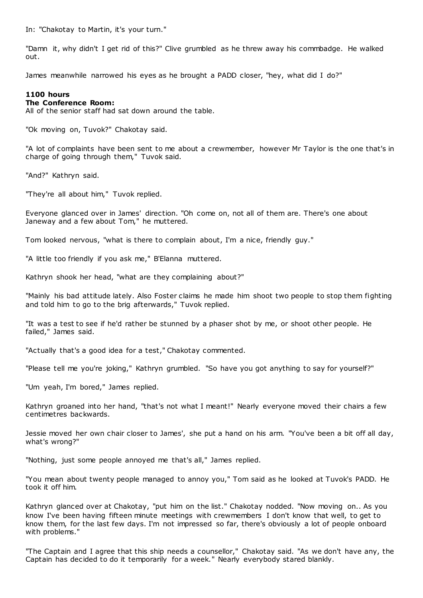In: "Chakotay to Martin, it's your turn."

"Damn it, why didn't I get rid of this?" Clive grumbled as he threw away his commbadge. He walked out.

James meanwhile narrowed his eyes as he brought a PADD closer, "hey, what did I do?"

# **1100 hours**

# **The Conference Room:**

All of the senior staff had sat down around the table.

"Ok moving on, Tuvok?" Chakotay said.

"A lot of complaints have been sent to me about a crewmember, however Mr Taylor is the one that's in charge of going through them," Tuvok said.

"And?" Kathryn said.

"They're all about him," Tuvok replied.

Everyone glanced over in James' direction. "Oh come on, not all of them are. There's one about Janeway and a few about Tom," he muttered.

Tom looked nervous, "what is there to complain about, I'm a nice, friendly guy."

"A little too friendly if you ask me," B'Elanna muttered.

Kathryn shook her head, "what are they complaining about?"

"Mainly his bad attitude lately. Also Foster claims he made him shoot two people to stop them fighting and told him to go to the brig afterwards," Tuvok replied.

"It was a test to see if he'd rather be stunned by a phaser shot by me, or shoot other people. He failed," James said.

"Actually that's a good idea for a test," Chakotay commented.

"Please tell me you're joking," Kathryn grumbled. "So have you got anything to say for yourself?"

"Um yeah, I'm bored," James replied.

Kathryn groaned into her hand, "that's not what I meant!" Nearly everyone moved their chairs a few centimetres backwards.

Jessie moved her own chair closer to James', she put a hand on his arm. "You've been a bit off all day, what's wrong?"

"Nothing, just some people annoyed me that's all," James replied.

"You mean about twenty people managed to annoy you," Tom said as he looked at Tuvok's PADD. He took it off him.

Kathryn glanced over at Chakotay, "put him on the list." Chakotay nodded. "Now moving on.. As you know I've been having fifteen minute meetings with crewmembers I don't know that well, to get to know them, for the last few days. I'm not impressed so far, there's obviously a lot of people onboard with problems."

"The Captain and I agree that this ship needs a counsellor," Chakotay said. "As we don't have any, the Captain has decided to do it temporarily for a week." Nearly everybody stared blankly.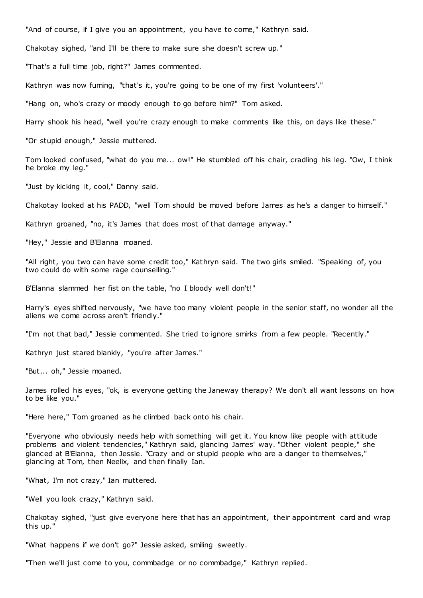"And of course, if I give you an appointment, you have to come," Kathryn said.

Chakotay sighed, "and I'll be there to make sure she doesn't screw up."

"That's a full time job, right?" James commented.

Kathryn was now fuming, "that's it, you're going to be one of my first 'volunteers'."

"Hang on, who's crazy or moody enough to go before him?" Tom asked.

Harry shook his head, "well you're crazy enough to make comments like this, on days like these."

"Or stupid enough," Jessie muttered.

Tom looked confused, "what do you me... ow!" He stumbled off his chair, cradling his leg. "Ow, I think he broke my leg."

"Just by kicking it, cool," Danny said.

Chakotay looked at his PADD, "well Tom should be moved before James as he's a danger to himself."

Kathryn groaned, "no, it's James that does most of that damage anyway."

"Hey," Jessie and B'Elanna moaned.

"All right, you two can have some credit too," Kathryn said. The two girls smiled. "Speaking of, you two could do with some rage counselling."

B'Elanna slammed her fist on the table, "no I bloody well don't!"

Harry's eyes shifted nervously, "we have too many violent people in the senior staff, no wonder all the aliens we come across aren't friendly."

"I'm not that bad," Jessie commented. She tried to ignore smirks from a few people. "Recently."

Kathryn just stared blankly, "you're after James."

"But... oh," Jessie moaned.

James rolled his eyes, "ok, is everyone getting the Janeway therapy? We don't all want lessons on how to be like you."

"Here here," Tom groaned as he climbed back onto his chair.

"Everyone who obviously needs help with something will get it. You know like people with attitude problems and violent tendencies," Kathryn said, glancing James' way. "Other violent people," she glanced at B'Elanna, then Jessie. "Crazy and or stupid people who are a danger to themselves," glancing at Tom, then Neelix, and then finally Ian.

"What, I'm not crazy," Ian muttered.

"Well you look crazy," Kathryn said.

Chakotay sighed, "just give everyone here that has an appointment, their appointment card and wrap this up."

"What happens if we don't go?" Jessie asked, smiling sweetly.

"Then we'll just come to you, commbadge or no commbadge," Kathryn replied.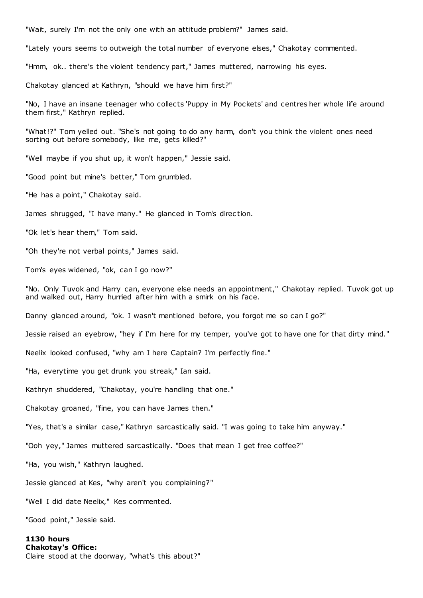"Wait, surely I'm not the only one with an attitude problem?" James said.

"Lately yours seems to outweigh the total number of everyone elses," Chakotay commented.

"Hmm, ok.. there's the violent tendency part," James muttered, narrowing his eyes.

Chakotay glanced at Kathryn, "should we have him first?"

"No, I have an insane teenager who collects 'Puppy in My Pockets' and centres her whole life around them first," Kathryn replied.

"What!?" Tom yelled out. "She's not going to do any harm, don't you think the violent ones need sorting out before somebody, like me, gets killed?"

"Well maybe if you shut up, it won't happen," Jessie said.

"Good point but mine's better," Tom grumbled.

"He has a point," Chakotay said.

James shrugged, "I have many." He glanced in Tom's direc tion.

"Ok let's hear them," Tom said.

"Oh they're not verbal points," James said.

Tom's eyes widened, "ok, can I go now?"

"No. Only Tuvok and Harry can, everyone else needs an appointment," Chakotay replied. Tuvok got up and walked out, Harry hurried after him with a smirk on his face.

Danny glanced around, "ok. I wasn't mentioned before, you forgot me so can I go?"

Jessie raised an eyebrow, "hey if I'm here for my temper, you've got to have one for that dirty mind."

Neelix looked confused, "why am I here Captain? I'm perfectly fine."

"Ha, everytime you get drunk you streak," Ian said.

Kathryn shuddered, "Chakotay, you're handling that one."

Chakotay groaned, "fine, you can have James then."

"Yes, that's a similar case," Kathryn sarcastically said. "I was going to take him anyway."

"Ooh yey," James muttered sarcastically. "Does that mean I get free coffee?"

"Ha, you wish," Kathryn laughed.

Jessie glanced at Kes, "why aren't you complaining?"

"Well I did date Neelix," Kes commented.

"Good point," Jessie said.

# **1130 hours Chakotay's Office:** Claire stood at the doorway, "what's this about?"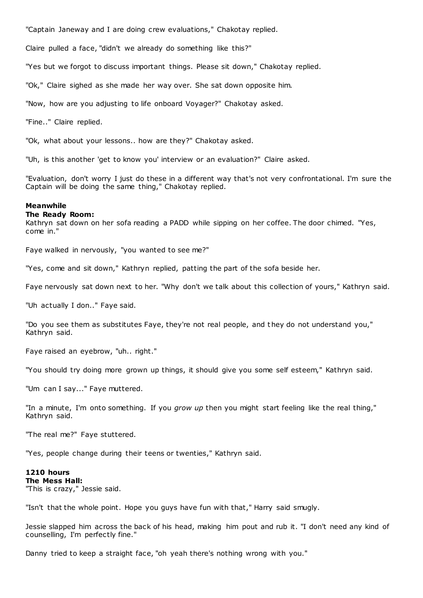"Captain Janeway and I are doing crew evaluations," Chakotay replied.

Claire pulled a face, "didn't we already do something like this?"

"Yes but we forgot to discuss important things. Please sit down," Chakotay replied.

"Ok," Claire sighed as she made her way over. She sat down opposite him.

"Now, how are you adjusting to life onboard Voyager?" Chakotay asked.

"Fine.." Claire replied.

"Ok, what about your lessons.. how are they?" Chakotay asked.

"Uh, is this another 'get to know you' interview or an evaluation?" Claire asked.

"Evaluation, don't worry I just do these in a different way that's not very confrontational. I'm sure the Captain will be doing the same thing," Chakotay replied.

# **Meanwhile**

# **The Ready Room:**

Kathryn sat down on her sofa reading a PADD while sipping on her coffee. The door chimed. "Yes, come in."

Faye walked in nervously, "you wanted to see me?"

"Yes, come and sit down," Kathryn replied, patting the part of the sofa beside her.

Faye nervously sat down next to her. "Why don't we talk about this collection of yours," Kathryn said.

"Uh actually I don.." Faye said.

"Do you see them as substitutes Faye, they're not real people, and t hey do not understand you," Kathryn said.

Faye raised an eyebrow, "uh.. right."

"You should try doing more grown up things, it should give you some self esteem," Kathryn said.

"Um can I say..." Faye muttered.

"In a minute, I'm onto something. If you *grow up* then you might start feeling like the real thing," Kathryn said.

"The real me?" Faye stuttered.

"Yes, people change during their teens or twenties," Kathryn said.

# **1210 hours The Mess Hall:** "This is crazy," Jessie said.

"Isn't that the whole point. Hope you guys have fun with that," Harry said smugly.

Jessie slapped him across the back of his head, making him pout and rub it. "I don't need any kind of counselling, I'm perfectly fine."

Danny tried to keep a straight face, "oh yeah there's nothing wrong with you."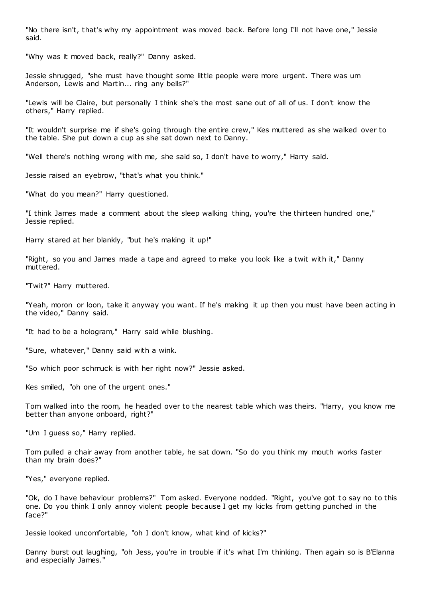"No there isn't, that's why my appointment was moved back. Before long I'll not have one," Jessie said.

"Why was it moved back, really?" Danny asked.

Jessie shrugged, "she must have thought some little people were more urgent. There was um Anderson, Lewis and Martin... ring any bells?"

"Lewis will be Claire, but personally I think she's the most sane out of all of us. I don't know the others," Harry replied.

"It wouldn't surprise me if she's going through the entire crew," Kes muttered as she walked over to the table. She put down a cup as she sat down next to Danny.

"Well there's nothing wrong with me, she said so, I don't have to worry," Harry said.

Jessie raised an eyebrow, "that's what you think."

"What do you mean?" Harry questioned.

"I think James made a comment about the sleep walking thing, you're the thirteen hundred one," Jessie replied.

Harry stared at her blankly, "but he's making it up!"

"Right, so you and James made a tape and agreed to make you look like a twit with it," Danny muttered.

"Twit?" Harry muttered.

"Yeah, moron or loon, take it anyway you want. If he's making it up then you must have been acting in the video," Danny said.

"It had to be a hologram," Harry said while blushing.

"Sure, whatever," Danny said with a wink.

"So which poor schmuck is with her right now?" Jessie asked.

Kes smiled, "oh one of the urgent ones."

Tom walked into the room, he headed over to the nearest table which was theirs. "Harry, you know me better than anyone onboard, right?"

"Um I guess so," Harry replied.

Tom pulled a chair away from another table, he sat down. "So do you think my mouth works faster than my brain does?"

"Yes," everyone replied.

"Ok, do I have behaviour problems?" Tom asked. Everyone nodded. "Right, you've got to say no to this one. Do you think I only annoy violent people because I get my kicks from getting punched in the face?"

Jessie looked uncomfortable, "oh I don't know, what kind of kicks?"

Danny burst out laughing, "oh Jess, you're in trouble if it's what I'm thinking. Then again so is B'Elanna and especially James."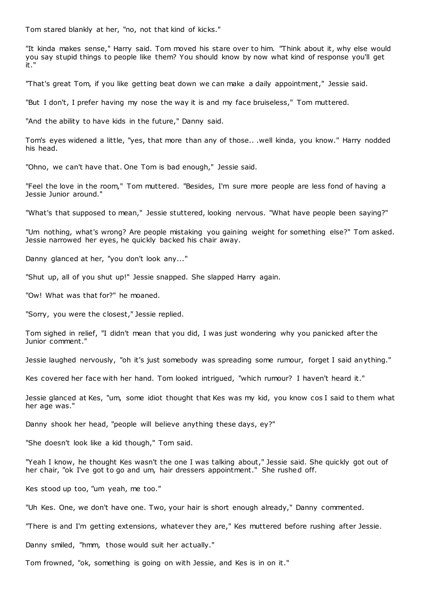Tom stared blankly at her, "no, not that kind of kicks."

"It kinda makes sense," Harry said. Tom moved his stare over to him. "Think about it, why else would you say stupid things to people like them? You should know by now what kind of response you'll get it."

"That's great Tom, if you like getting beat down we can make a daily appointment," Jessie said.

"But I don't, I prefer having my nose the way it is and my face bruiseless," Tom muttered.

"And the ability to have kids in the future," Danny said.

Tom's eyes widened a little, "yes, that more than any of those.. .well kinda, you know." Harry nodded his head.

"Ohno, we can't have that. One Tom is bad enough," Jessie said.

"Feel the love in the room," Tom muttered. "Besides, I'm sure more people are less fond of having a Jessie Junior around."

"What's that supposed to mean," Jessie stuttered, looking nervous. "What have people been saying?"

"Um nothing, what's wrong? Are people mistaking you gaining weight for something else?" Tom asked. Jessie narrowed her eyes, he quickly backed his chair away.

Danny glanced at her, "you don't look any..."

"Shut up, all of you shut up!" Jessie snapped. She slapped Harry again.

"Ow! What was that for?" he moaned.

"Sorry, you were the closest," Jessie replied.

Tom sighed in relief, "I didn't mean that you did, I was just wondering why you panicked after the Junior comment."

Jessie laughed nervously, "oh it's just somebody was spreading some rumour, forget I said anything."

Kes covered her face with her hand. Tom looked intrigued, "which rumour? I haven't heard it."

Jessie glanced at Kes, "um, some idiot thought that Kes was my kid, you know cos I said to them what her age was."

Danny shook her head, "people will believe anything these days, ey?"

"She doesn't look like a kid though," Tom said.

"Yeah I know, he thought Kes wasn't the one I was talking about," Jessie said. She quickly got out of her chair, "ok I've got to go and um, hair dressers appointment." She rushed off.

Kes stood up too, "um yeah, me too."

"Uh Kes. One, we don't have one. Two, your hair is short enough already," Danny commented.

"There is and I'm getting extensions, whatever they are," Kes muttered before rushing after Jessie.

Danny smiled, "hmm, those would suit her actually."

Tom frowned, "ok, something is going on with Jessie, and Kes is in on it."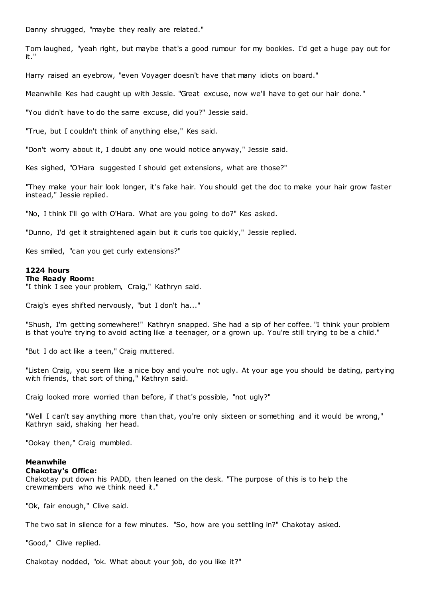Danny shrugged, "maybe they really are related."

Tom laughed, "yeah right, but maybe that's a good rumour for my bookies. I'd get a huge pay out for it."

Harry raised an eyebrow, "even Voyager doesn't have that many idiots on board."

Meanwhile Kes had caught up with Jessie. "Great excuse, now we'll have to get our hair done."

"You didn't have to do the same excuse, did you?" Jessie said.

"True, but I couldn't think of anything else," Kes said.

"Don't worry about it, I doubt any one would notice anyway," Jessie said.

Kes sighed, "O'Hara suggested I should get extensions, what are those?"

"They make your hair look longer, it's fake hair. You should get the doc to make your hair grow faster instead," Jessie replied.

"No, I think I'll go with O'Hara. What are you going to do?" Kes asked.

"Dunno, I'd get it straightened again but it curls too quickly," Jessie replied.

Kes smiled, "can you get curly extensions?"

### **1224 hours**

#### **The Ready Room:**

"I think I see your problem, Craig," Kathryn said.

Craig's eyes shifted nervously, "but I don't ha..."

"Shush, I'm getting somewhere!" Kathryn snapped. She had a sip of her coffee. "I think your problem is that you're trying to avoid acting like a teenager, or a grown up. You're still trying to be a child."

"But I do act like a teen," Craig muttered.

"Listen Craig, you seem like a nice boy and you're not ugly. At your age you should be dating, partying with friends, that sort of thing," Kathryn said.

Craig looked more worried than before, if that's possible, "not ugly?"

"Well I can't say anything more than that, you're only sixteen or something and it would be wrong," Kathryn said, shaking her head.

"Ookay then," Craig mumbled.

# **Meanwhile**

# **Chakotay's Office:**

Chakotay put down his PADD, then leaned on the desk. "The purpose of this is to help the crewmembers who we think need it."

"Ok, fair enough," Clive said.

The two sat in silence for a few minutes. "So, how are you settling in?" Chakotay asked.

"Good," Clive replied.

Chakotay nodded, "ok. What about your job, do you like it?"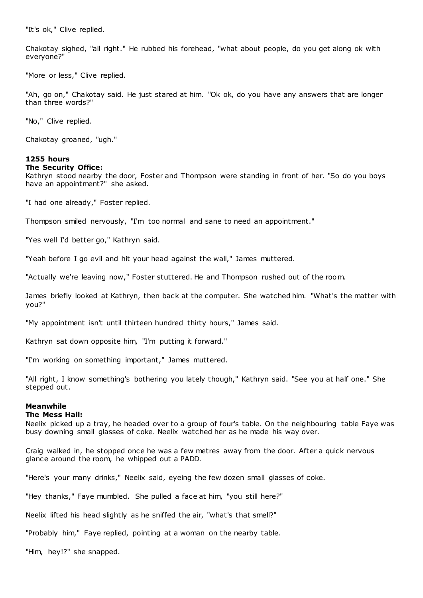"It's ok," Clive replied.

Chakotay sighed, "all right." He rubbed his forehead, "what about people, do you get along ok with everyone?"

"More or less," Clive replied.

"Ah, go on," Chakotay said. He just stared at him. "Ok ok, do you have any answers that are longer than three words?"

"No," Clive replied.

Chakotay groaned, "ugh."

# **1255 hours The Security Office:**

Kathryn stood nearby the door, Foster and Thompson were standing in front of her. "So do you boys have an appointment?" she asked.

"I had one already," Foster replied.

Thompson smiled nervously, "I'm too normal and sane to need an appointment."

"Yes well I'd better go," Kathryn said.

"Yeah before I go evil and hit your head against the wall," James muttered.

"Actually we're leaving now," Foster stuttered. He and Thompson rushed out of the room.

James briefly looked at Kathryn, then back at the computer. She watched him. "What's the matter with you?"

"My appointment isn't until thirteen hundred thirty hours," James said.

Kathryn sat down opposite him, "I'm putting it forward."

"I'm working on something important," James muttered.

"All right, I know something's bothering you lately though," Kathryn said. "See you at half one." She stepped out.

# **Meanwhile**

# **The Mess Hall:**

Neelix picked up a tray, he headed over to a group of four's table. On the neighbouring table Faye was busy downing small glasses of coke. Neelix watched her as he made his way over.

Craig walked in, he stopped once he was a few metres away from the door. After a quick nervous glance around the room, he whipped out a PADD.

"Here's your many drinks," Neelix said, eyeing the few dozen small glasses of coke.

"Hey thanks," Faye mumbled. She pulled a face at him, "you still here?"

Neelix lifted his head slightly as he sniffed the air, "what's that smell?"

"Probably him," Faye replied, pointing at a woman on the nearby table.

"Him, hey!?" she snapped.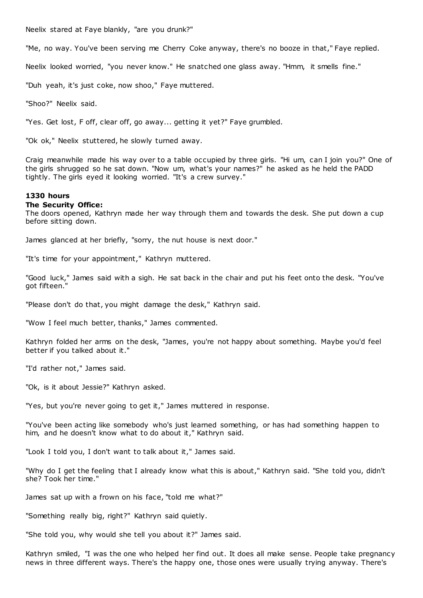Neelix stared at Faye blankly, "are you drunk?"

"Me, no way. You've been serving me Cherry Coke anyway, there's no booze in that," Faye replied.

Neelix looked worried, "you never know." He snatched one glass away. "Hmm, it smells fine."

"Duh yeah, it's just coke, now shoo," Faye muttered.

"Shoo?" Neelix said.

"Yes. Get lost, F off, clear off, go away... getting it yet?" Faye grumbled.

"Ok ok," Neelix stuttered, he slowly turned away.

Craig meanwhile made his way over to a table occupied by three girls. "Hi um, can I join you?" One of the girls shrugged so he sat down. "Now um, what's your names?" he asked as he held the PADD tightly. The girls eyed it looking worried. "It's a crew survey."

# **1330 hours**

#### **The Security Office:**

The doors opened, Kathryn made her way through them and towards the desk. She put down a cup before sitting down.

James glanced at her briefly, "sorry, the nut house is next door."

"It's time for your appointment," Kathryn muttered.

"Good luck," James said with a sigh. He sat back in the chair and put his feet onto the desk. "You've got fifteen."

"Please don't do that, you might damage the desk," Kathryn said.

"Wow I feel much better, thanks," James commented.

Kathryn folded her arms on the desk, "James, you're not happy about something. Maybe you'd feel better if you talked about it."

"I'd rather not," James said.

"Ok, is it about Jessie?" Kathryn asked.

"Yes, but you're never going to get it," James muttered in response.

"You've been acting like somebody who's just learned something, or has had something happen to him, and he doesn't know what to do about it," Kathryn said.

"Look I told you, I don't want to talk about it," James said.

"Why do I get the feeling that I already know what this is about," Kathryn said. "She told you, didn't she? Took her time."

James sat up with a frown on his face, "told me what?"

"Something really big, right?" Kathryn said quietly.

"She told you, why would she tell you about it?" James said.

Kathryn smiled, "I was the one who helped her find out. It does all make sense. People take pregnancy news in three different ways. There's the happy one, those ones were usually trying anyway. There's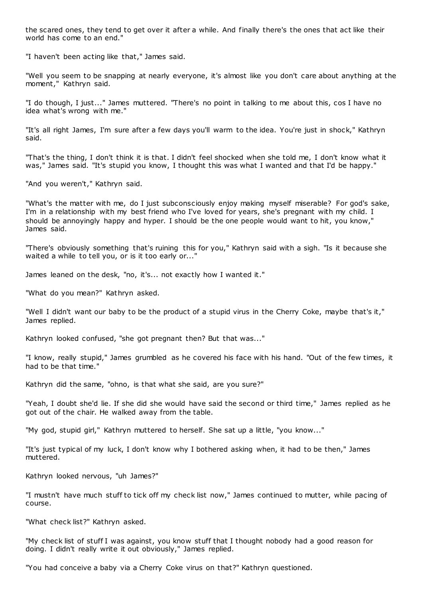the scared ones, they tend to get over it after a while. And finally there's the ones that act like their world has come to an end."

"I haven't been acting like that," James said.

"Well you seem to be snapping at nearly everyone, it's almost like you don't care about anything at the moment," Kathryn said.

"I do though, I just..." James muttered. "There's no point in talking to me about this, cos I have no idea what's wrong with me."

"It's all right James, I'm sure after a few days you'll warm to the idea. You're just in shock," Kathryn said.

"That's the thing, I don't think it is that. I didn't feel shocked when she told me, I don't know what it was," James said. "It's stupid you know, I thought this was what I wanted and that I'd be happy."

"And you weren't," Kathryn said.

"What's the matter with me, do I just subconsciously enjoy making myself miserable? For god's sake, I'm in a relationship with my best friend who I've loved for years, she's pregnant with my child. I should be annoyingly happy and hyper. I should be the one people would want to hit, you know," James said.

"There's obviously something that's ruining this for you," Kathryn said with a sigh. "Is it because she waited a while to tell you, or is it too early or..."

James leaned on the desk, "no, it's... not exactly how I wanted it."

"What do you mean?" Kathryn asked.

"Well I didn't want our baby to be the product of a stupid virus in the Cherry Coke, maybe that's it," James replied.

Kathryn looked confused, "she got pregnant then? But that was..."

"I know, really stupid," James grumbled as he covered his face with his hand. "Out of the few times, it had to be that time."

Kathryn did the same, "ohno, is that what she said, are you sure?"

"Yeah, I doubt she'd lie. If she did she would have said the second or third time," James replied as he got out of the chair. He walked away from the table.

"My god, stupid girl," Kathryn muttered to herself. She sat up a little, "you know..."

"It's just typical of my luck, I don't know why I bothered asking when, it had to be then," James muttered.

Kathryn looked nervous, "uh James?"

"I mustn't have much stuff to tick off my check list now," James continued to mutter, while pacing of course.

"What check list?" Kathryn asked.

"My check list of stuff I was against, you know stuff that I thought nobody had a good reason for doing. I didn't really write it out obviously," James replied.

"You had conceive a baby via a Cherry Coke virus on that?" Kathryn questioned.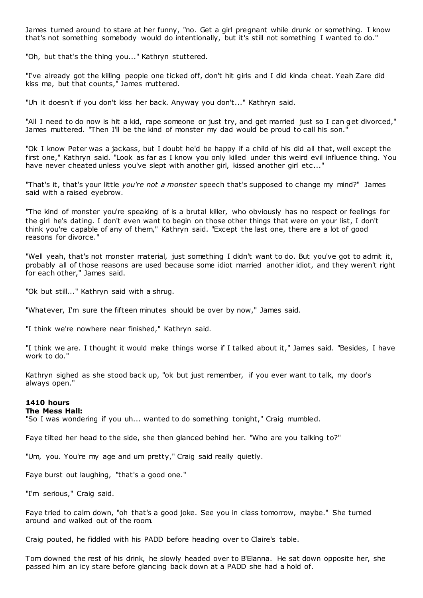James turned around to stare at her funny, "no. Get a girl pregnant while drunk or something. I know that's not something somebody would do intentionally, but it's still not something I wanted to do."

"Oh, but that's the thing you..." Kathryn stuttered.

"I've already got the killing people one ticked off, don't hit girls and I did kinda cheat. Yeah Zare did kiss me, but that counts," James muttered.

"Uh it doesn't if you don't kiss her back. Anyway you don't..." Kathryn said.

"All I need to do now is hit a kid, rape someone or just try, and get married just so I can get divorced," James muttered. "Then I'll be the kind of monster my dad would be proud to call his son."

"Ok I know Peter was a jackass, but I doubt he'd be happy if a child of his did all that, well except the first one," Kathryn said. "Look as far as I know you only killed under this weird evil influence thing. You have never cheated unless you've slept with another girl, kissed another girl etc..."

"That's it, that's your little *you're not a monster* speech that's supposed to change my mind?" James said with a raised eyebrow.

"The kind of monster you're speaking of is a brutal killer, who obviously has no respect or feelings for the girl he's dating. I don't even want to begin on those other things that were on your list, I don't think you're capable of any of them," Kathryn said. "Except the last one, there are a lot of good reasons for divorce."

"Well yeah, that's not monster material, just something I didn't want to do. But you've got to admit it, probably all of those reasons are used because some idiot married another idiot, and they weren't right for each other," James said.

"Ok but still..." Kathryn said with a shrug.

"Whatever, I'm sure the fifteen minutes should be over by now," James said.

"I think we're nowhere near finished," Kathryn said.

"I think we are. I thought it would make things worse if I talked about it," James said. "Besides, I have work to do."

Kathryn sighed as she stood back up, "ok but just remember, if you ever want to talk, my door's always open."

# **1410 hours**

# **The Mess Hall:**

"So I was wondering if you uh... wanted to do something tonight," Craig mumbled.

Faye tilted her head to the side, she then glanced behind her. "Who are you talking to?"

"Um, you. You're my age and um pretty," Craig said really quietly.

Faye burst out laughing, "that's a good one."

"I'm serious," Craig said.

Faye tried to calm down, "oh that's a good joke. See you in class tomorrow, maybe." She turned around and walked out of the room.

Craig pouted, he fiddled with his PADD before heading over to Claire's table.

Tom downed the rest of his drink, he slowly headed over to B'Elanna. He sat down opposite her, she passed him an icy stare before glancing back down at a PADD she had a hold of.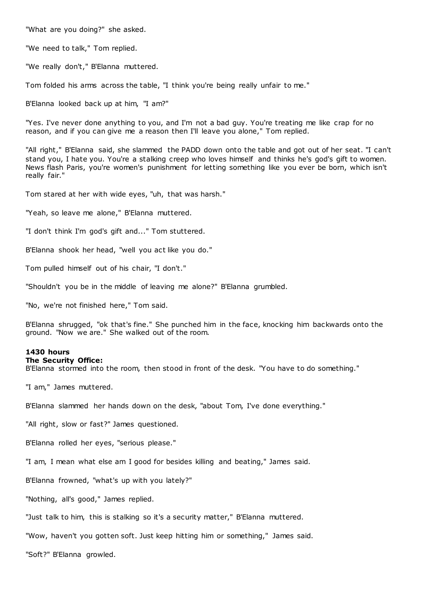"What are you doing?" she asked.

"We need to talk," Tom replied.

"We really don't," B'Elanna muttered.

Tom folded his arms across the table, "I think you're being really unfair to me."

B'Elanna looked back up at him, "I am?"

"Yes. I've never done anything to you, and I'm not a bad guy. You're treating me like crap for no reason, and if you can give me a reason then I'll leave you alone," Tom replied.

"All right," B'Elanna said, she slammed the PADD down onto the table and got out of her seat. "I can't stand you, I hate you. You're a stalking creep who loves himself and thinks he's god's gift to women. News flash Paris, you're women's punishment for letting something like you ever be born, which isn't really fair."

Tom stared at her with wide eyes, "uh, that was harsh."

"Yeah, so leave me alone," B'Elanna muttered.

"I don't think I'm god's gift and..." Tom stuttered.

B'Elanna shook her head, "well you act like you do."

Tom pulled himself out of his chair, "I don't."

"Shouldn't you be in the middle of leaving me alone?" B'Elanna grumbled.

"No, we're not finished here," Tom said.

B'Elanna shrugged, "ok that's fine." She punched him in the face, knocking him backwards onto the ground. "Now we are." She walked out of the room.

#### **1430 hours**

# **The Security Office:**

B'Elanna stormed into the room, then stood in front of the desk. "You have to do something."

"I am," James muttered.

B'Elanna slammed her hands down on the desk, "about Tom, I've done everything."

"All right, slow or fast?" James questioned.

B'Elanna rolled her eyes, "serious please."

"I am, I mean what else am I good for besides killing and beating," James said.

B'Elanna frowned, "what's up with you lately?"

"Nothing, all's good," James replied.

"Just talk to him, this is stalking so it's a security matter," B'Elanna muttered.

"Wow, haven't you gotten soft. Just keep hitting him or something," James said.

"Soft?" B'Elanna growled.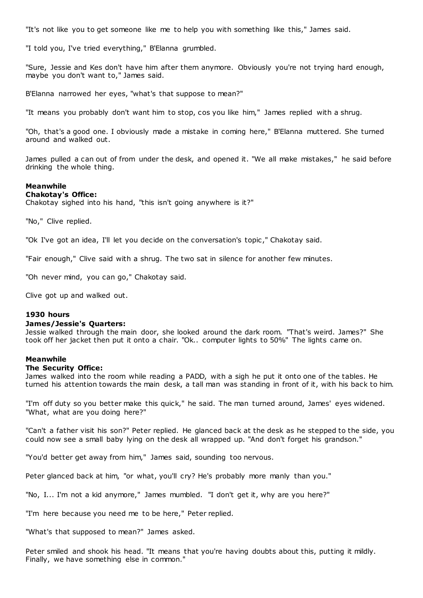"It's not like you to get someone like me to help you with something like this," James said.

"I told you, I've tried everything," B'Elanna grumbled.

"Sure, Jessie and Kes don't have him after them anymore. Obviously you're not trying hard enough, maybe you don't want to," James said.

B'Elanna narrowed her eyes, "what's that suppose to mean?"

"It means you probably don't want him to stop, cos you like him," James replied with a shrug.

"Oh, that's a good one. I obviously made a mistake in coming here," B'Elanna muttered. She turned around and walked out.

James pulled a can out of from under the desk, and opened it. "We all make mistakes," he said before drinking the whole thing.

# **Meanwhile**

## **Chakotay's Office:**

Chakotay sighed into his hand, "this isn't going anywhere is it?"

"No," Clive replied.

"Ok I've got an idea, I'll let you decide on the conversation's topic ," Chakotay said.

"Fair enough," Clive said with a shrug. The two sat in silence for another few minutes.

"Oh never mind, you can go," Chakotay said.

Clive got up and walked out.

### **1930 hours**

#### **James/Jessie's Quarters:**

Jessie walked through the main door, she looked around the dark room. "That's weird. James?" She took off her jacket then put it onto a chair. "Ok.. computer lights to 50%" The lights came on.

#### **Meanwhile**

#### **The Security Office:**

James walked into the room while reading a PADD, with a sigh he put it onto one of the tables. He turned his attention towards the main desk, a tall man was standing in front of it, with his back to him.

"I'm off duty so you better make this quick," he said. The man turned around, James' eyes widened. "What, what are you doing here?"

"Can't a father visit his son?" Peter replied. He glanced back at the desk as he stepped to the side, you could now see a small baby lying on the desk all wrapped up. "And don't forget his grandson."

"You'd better get away from him," James said, sounding too nervous.

Peter glanced back at him, "or what, you'll cry? He's probably more manly than you."

"No, I... I'm not a kid anymore," James mumbled. "I don't get it, why are you here?"

"I'm here because you need me to be here," Peter replied.

"What's that supposed to mean?" James asked.

Peter smiled and shook his head. "It means that you're having doubts about this, putting it mildly. Finally, we have something else in common."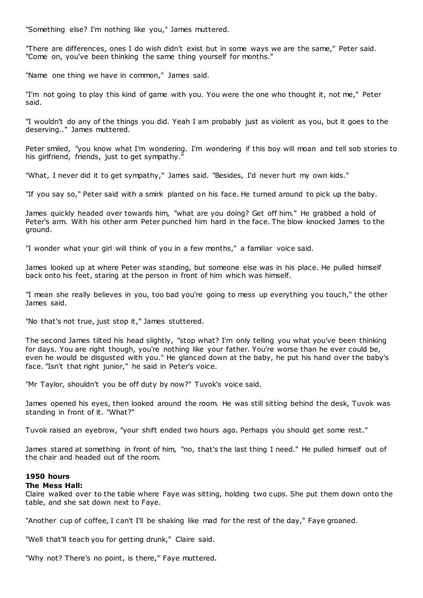"Something else? I'm nothing like you," James muttered.

"There are differences, ones I do wish didn't exist but in some ways we are the same," Peter said. "Come on, you've been thinking the same thing yourself for months."

"Name one thing we have in common," James said.

"I'm not going to play this kind of game with you. You were the one who thought it, not me," Peter said.

"I wouldn't do any of the things you did. Yeah I am probably just as violent as you, but it goes to the deserving.." James muttered.

Peter smiled, "you know what I'm wondering. I'm wondering if this boy will moan and tell sob stories to his girlfriend, friends, just to get sympathy."

"What, I never did it to get sympathy," James said. "Besides, I'd never hurt my own kids."

"If you say so," Peter said with a smirk planted on his face. He turned around to pick up the baby.

James quickly headed over towards him, "what are you doing? Get off him." He grabbed a hold of Peter's arm. With his other arm Peter punched him hard in the face. The blow knocked James to the ground.

"I wonder what your girl will think of you in a few months," a familiar voice said.

James looked up at where Peter was standing, but someone else was in his place. He pulled himself back onto his feet, staring at the person in front of him which was himself.

"I mean she really believes in you, too bad you're going to mess up everything you touch," the other James said.

"No that's not true, just stop it," James stuttered.

The second James tilted his head slightly, "stop what? I'm only telling you what you've been thinking for days. You are right though, you're nothing like your father. You're worse than he ever could be, even he would be disgusted with you." He glanced down at the baby, he put his hand over the baby's face. "Isn't that right junior," he said in Peter's voice.

"Mr Taylor, shouldn't you be off duty by now?" Tuvok's voice said.

James opened his eyes, then looked around the room. He was still sitting behind the desk, Tuvok was standing in front of it. "What?"

Tuvok raised an eyebrow, "your shift ended two hours ago. Perhaps you should get some rest."

James stared at something in front of him, "no, that's the last thing I need." He pulled himself out of the chair and headed out of the room.

# **1950 hours**

#### **The Mess Hall:**

Claire walked over to the table where Faye was sitting, holding two cups. She put them down onto the table, and she sat down next to Faye.

"Another cup of coffee, I can't I'll be shaking like mad for the rest of the day," Faye groaned.

"Well that'll teach you for getting drunk," Claire said.

"Why not? There's no point, is there," Faye muttered.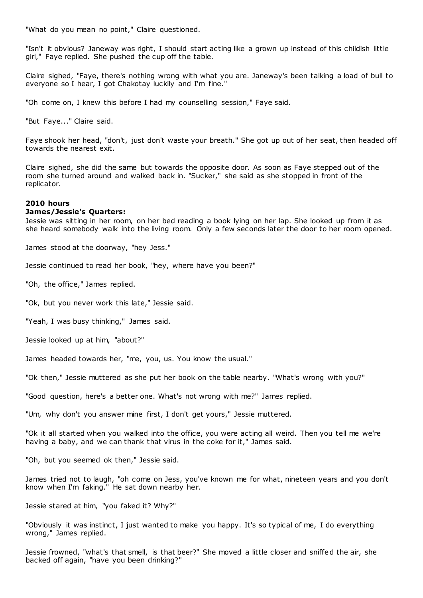"What do you mean no point," Claire questioned.

"Isn't it obvious? Janeway was right, I should start acting like a grown up instead of this childish little girl," Faye replied. She pushed the cup off the table.

Claire sighed, "Faye, there's nothing wrong with what you are. Janeway's been talking a load of bull to everyone so I hear, I got Chakotay luckily and I'm fine."

"Oh come on, I knew this before I had my counselling session," Faye said.

"But Faye..." Claire said.

Faye shook her head, "don't, just don't waste your breath." She got up out of her seat, then headed off towards the nearest exit.

Claire sighed, she did the same but towards the opposite door. As soon as Faye stepped out of the room she turned around and walked back in. "Sucker," she said as she stopped in front of the replicator.

### **2010 hours**

#### **James/Jessie's Quarters:**

Jessie was sitting in her room, on her bed reading a book lying on her lap. She looked up from it as she heard somebody walk into the living room. Only a few seconds later the door to her room opened.

James stood at the doorway, "hey Jess."

Jessie continued to read her book, "hey, where have you been?"

"Oh, the office," James replied.

"Ok, but you never work this late," Jessie said.

"Yeah, I was busy thinking," James said.

Jessie looked up at him, "about?"

James headed towards her, "me, you, us. You know the usual."

"Ok then," Jessie muttered as she put her book on the table nearby. "What's wrong with you?"

"Good question, here's a better one. What's not wrong with me?" James replied.

"Um, why don't you answer mine first, I don't get yours," Jessie muttered.

"Ok it all started when you walked into the office, you were acting all weird. Then you tell me we're having a baby, and we can thank that virus in the coke for it," James said.

"Oh, but you seemed ok then," Jessie said.

James tried not to laugh, "oh come on Jess, you've known me for what, nineteen years and you don't know when I'm faking." He sat down nearby her.

Jessie stared at him, "you faked it? Why?"

"Obviously it was instinct, I just wanted to make you happy. It's so typical of me, I do everything wrong," James replied.

Jessie frowned, "what's that smell, is that beer?" She moved a little closer and sniffed the air, she backed off again, "have you been drinking?"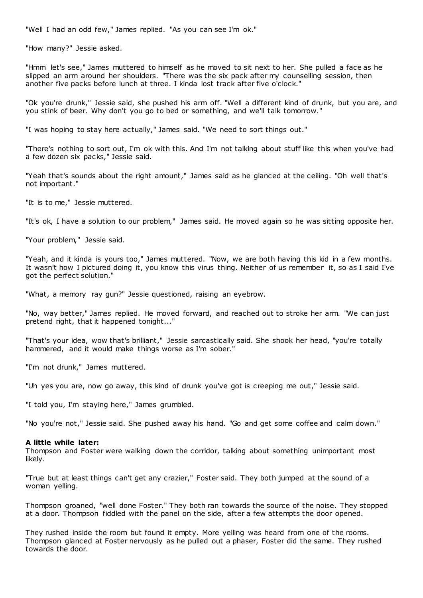"Well I had an odd few," James replied. "As you can see I'm ok."

"How many?" Jessie asked.

"Hmm let's see," James muttered to himself as he moved to sit next to her. She pulled a face as he slipped an arm around her shoulders. "There was the six pack after my counselling session, then another five packs before lunch at three. I kinda lost track after five o'clock."

"Ok you're drunk," Jessie said, she pushed his arm off. "Well a different kind of drunk, but you are, and you stink of beer. Why don't you go to bed or something, and we'll talk tomorrow."

"I was hoping to stay here actually," James said. "We need to sort things out."

"There's nothing to sort out, I'm ok with this. And I'm not talking about stuff like this when you've had a few dozen six packs," Jessie said.

"Yeah that's sounds about the right amount," James said as he glanced at the ceiling. "Oh well that's not important."

"It is to me," Jessie muttered.

"It's ok, I have a solution to our problem," James said. He moved again so he was sitting opposite her.

"Your problem," Jessie said.

"Yeah, and it kinda is yours too," James muttered. "Now, we are both having this kid in a few months. It wasn't how I pictured doing it, you know this virus thing. Neither of us remember it, so as I said I've got the perfect solution."

"What, a memory ray gun?" Jessie questioned, raising an eyebrow.

"No, way better," James replied. He moved forward, and reached out to stroke her arm. "We can just pretend right, that it happened tonight..."

"That's your idea, wow that's brilliant," Jessie sarcastically said. She shook her head, "you're totally hammered, and it would make things worse as I'm sober.'

"I'm not drunk," James muttered.

"Uh yes you are, now go away, this kind of drunk you've got is creeping me out," Jessie said.

"I told you, I'm staying here," James grumbled.

"No you're not," Jessie said. She pushed away his hand. "Go and get some coffee and calm down."

#### **A little while later:**

Thompson and Foster were walking down the corridor, talking about something unimportant most likely.

"True but at least things can't get any crazier," Foster said. They both jumped at the sound of a woman yelling.

Thompson groaned, "well done Foster." They both ran towards the source of the noise. They stopped at a door. Thompson fiddled with the panel on the side, after a few attempts the door opened.

They rushed inside the room but found it empty. More yelling was heard from one of the rooms. Thompson glanced at Foster nervously as he pulled out a phaser, Foster did the same. They rushed towards the door.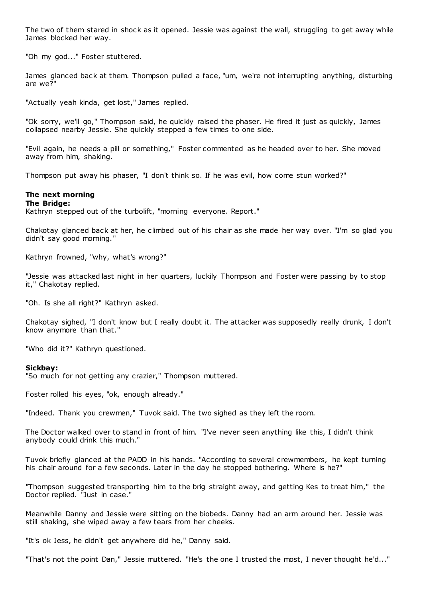The two of them stared in shock as it opened. Jessie was against the wall, struggling to get away while James blocked her way.

"Oh my god..." Foster stuttered.

James glanced back at them. Thompson pulled a face, "um, we're not interrupting anything, disturbing are we?"

"Actually yeah kinda, get lost," James replied.

"Ok sorry, we'll go," Thompson said, he quickly raised the phaser. He fired it just as quickly, James collapsed nearby Jessie. She quickly stepped a few times to one side.

"Evil again, he needs a pill or something," Foster commented as he headed over to her. She moved away from him, shaking.

Thompson put away his phaser, "I don't think so. If he was evil, how come stun worked?"

# **The next morning**

#### **The Bridge:**

Kathryn stepped out of the turbolift, "morning everyone. Report."

Chakotay glanced back at her, he climbed out of his chair as she made her way over. "I'm so glad you didn't say good morning."

Kathryn frowned, "why, what's wrong?"

"Jessie was attacked last night in her quarters, luckily Thompson and Foster were passing by to stop it," Chakotay replied.

"Oh. Is she all right?" Kathryn asked.

Chakotay sighed, "I don't know but I really doubt it. The attacker was supposedly really drunk, I don't know anymore than that."

"Who did it?" Kathryn questioned.

#### **Sickbay:**

"So much for not getting any crazier," Thompson muttered.

Foster rolled his eyes, "ok, enough already."

"Indeed. Thank you crewmen," Tuvok said. The two sighed as they left the room.

The Doctor walked over to stand in front of him. "I've never seen anything like this, I didn't think anybody could drink this much."

Tuvok briefly glanced at the PADD in his hands. "According to several crewmembers, he kept turning his chair around for a few seconds. Later in the day he stopped bothering. Where is he?"

"Thompson suggested transporting him to the brig straight away, and getting Kes to treat him," the Doctor replied. "Just in case."

Meanwhile Danny and Jessie were sitting on the biobeds. Danny had an arm around her. Jessie was still shaking, she wiped away a few tears from her cheeks.

"It's ok Jess, he didn't get anywhere did he," Danny said.

"That's not the point Dan," Jessie muttered. "He's the one I trusted the most, I never thought he'd..."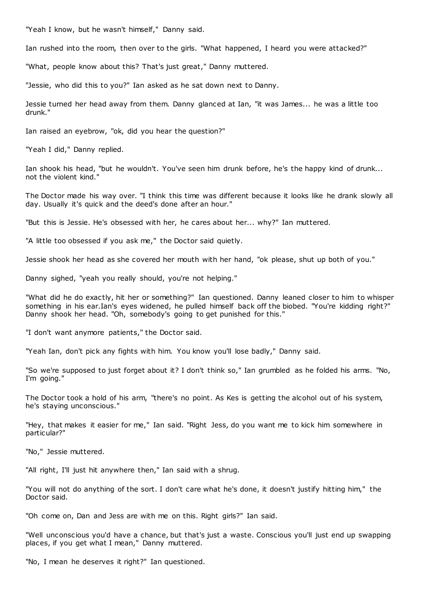"Yeah I know, but he wasn't himself," Danny said.

Ian rushed into the room, then over to the girls. "What happened, I heard you were attacked?"

"What, people know about this? That's just great," Danny muttered.

"Jessie, who did this to you?" Ian asked as he sat down next to Danny.

Jessie turned her head away from them. Danny glanced at Ian, "it was James... he was a little too drunk."

Ian raised an eyebrow, "ok, did you hear the question?"

"Yeah I did," Danny replied.

Ian shook his head, "but he wouldn't. You've seen him drunk before, he's the happy kind of drunk... not the violent kind."

The Doctor made his way over. "I think this time was different because it looks like he drank slowly all day. Usually it's quick and the deed's done after an hour."

"But this is Jessie. He's obsessed with her, he cares about her... why?" Ian muttered.

"A little too obsessed if you ask me," the Doctor said quietly.

Jessie shook her head as she covered her mouth with her hand, "ok please, shut up both of you."

Danny sighed, "yeah you really should, you're not helping."

"What did he do exactly, hit her or something?" Ian questioned. Danny leaned closer to him to whisper something in his ear.Ian's eyes widened, he pulled himself back off the biobed. "You're kidding right?" Danny shook her head. "Oh, somebody's going to get punished for this."

"I don't want anymore patients," the Doctor said.

"Yeah Ian, don't pick any fights with him. You know you'll lose badly," Danny said.

"So we're supposed to just forget about it? I don't think so," Ian grumbled as he folded his arms. "No, I'm going."

The Doctor took a hold of his arm, "there's no point. As Kes is getting the alcohol out of his system, he's staying unconscious."

"Hey, that makes it easier for me," Ian said. "Right Jess, do you want me to kick him somewhere in particular?"

"No," Jessie muttered.

"All right, I'll just hit anywhere then," Ian said with a shrug.

"You will not do anything of the sort. I don't care what he's done, it doesn't justify hitting him," the Doctor said.

"Oh come on, Dan and Jess are with me on this. Right girls?" Ian said.

"Well unconscious you'd have a chance, but that's just a waste. Conscious you'll just end up swapping places, if you get what I mean," Danny muttered.

"No, I mean he deserves it right?" Ian questioned.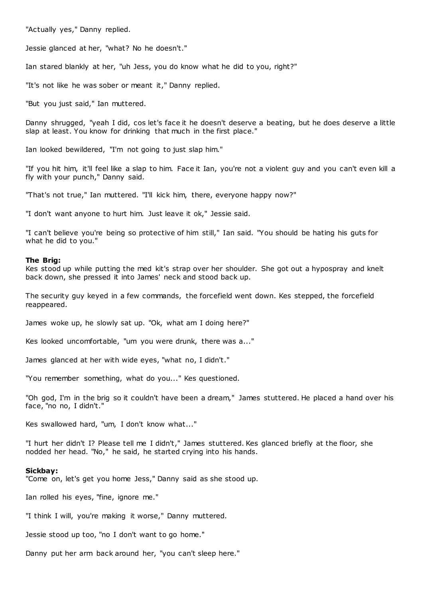"Actually yes," Danny replied.

Jessie glanced at her, "what? No he doesn't."

Ian stared blankly at her, "uh Jess, you do know what he did to you, right?"

"It's not like he was sober or meant it," Danny replied.

"But you just said," Ian muttered.

Danny shrugged, "yeah I did, cos let's face it he doesn't deserve a beating, but he does deserve a little slap at least. You know for drinking that much in the first place."

Ian looked bewildered, "I'm not going to just slap him."

"If you hit him, it'll feel like a slap to him. Face it Ian, you're not a violent guy and you can't even kill a fly with your punch," Danny said.

"That's not true," Ian muttered. "I'll kick him, there, everyone happy now?"

"I don't want anyone to hurt him. Just leave it ok," Jessie said.

"I can't believe you're being so protective of him still," Ian said. "You should be hating his guts for what he did to you."

#### **The Brig:**

Kes stood up while putting the med kit's strap over her shoulder. She got out a hypospray and knelt back down, she pressed it into James' neck and stood back up.

The security guy keyed in a few commands, the forcefield went down. Kes stepped, the forcefield reappeared.

James woke up, he slowly sat up. "Ok, what am I doing here?"

Kes looked uncomfortable, "um you were drunk, there was a..."

James glanced at her with wide eyes, "what no, I didn't."

"You remember something, what do you..." Kes questioned.

"Oh god, I'm in the brig so it couldn't have been a dream," James stuttered. He placed a hand over his face, "no no, I didn't."

Kes swallowed hard, "um, I don't know what..."

"I hurt her didn't I? Please tell me I didn't," James stuttered. Kes glanced briefly at the floor, she nodded her head. "No," he said, he started crying into his hands.

#### **Sickbay:**

"Come on, let's get you home Jess," Danny said as she stood up.

Ian rolled his eyes, "fine, ignore me."

"I think I will, you're making it worse," Danny muttered.

Jessie stood up too, "no I don't want to go home."

Danny put her arm back around her, "you can't sleep here."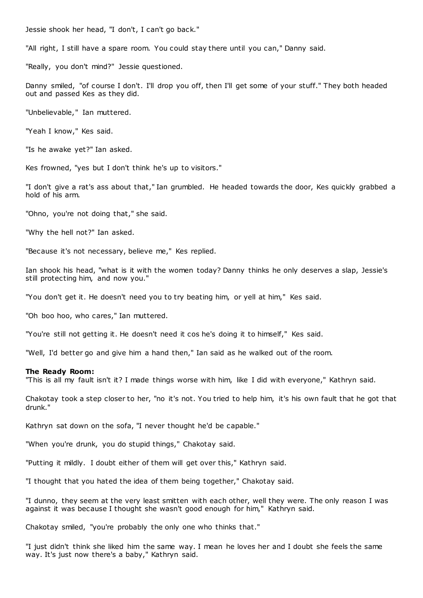Jessie shook her head, "I don't, I can't go back."

"All right, I still have a spare room. You could stay there until you can," Danny said.

"Really, you don't mind?" Jessie questioned.

Danny smiled, "of course I don't. I'll drop you off, then I'll get some of your stuff." They both headed out and passed Kes as they did.

"Unbelievable," Ian muttered.

"Yeah I know," Kes said.

"Is he awake yet?" Ian asked.

Kes frowned, "yes but I don't think he's up to visitors."

"I don't give a rat's ass about that," Ian grumbled. He headed towards the door, Kes quickly grabbed a hold of his arm.

"Ohno, you're not doing that," she said.

"Why the hell not?" Ian asked.

"Because it's not necessary, believe me," Kes replied.

Ian shook his head, "what is it with the women today? Danny thinks he only deserves a slap, Jessie's still protecting him, and now you."

"You don't get it. He doesn't need you to try beating him, or yell at him," Kes said.

"Oh boo hoo, who cares," Ian muttered.

"You're still not getting it. He doesn't need it cos he's doing it to himself," Kes said.

"Well, I'd better go and give him a hand then," Ian said as he walked out of the room.

#### **The Ready Room:**

"This is all my fault isn't it? I made things worse with him, like I did with everyone," Kathryn said.

Chakotay took a step closer to her, "no it's not. You tried to help him, it's his own fault that he got that drunk."

Kathryn sat down on the sofa, "I never thought he'd be capable."

"When you're drunk, you do stupid things," Chakotay said.

"Putting it mildly. I doubt either of them will get over this," Kathryn said.

"I thought that you hated the idea of them being together," Chakotay said.

"I dunno, they seem at the very least smitten with each other, well they were. The only reason I was against it was because I thought she wasn't good enough for him," Kathryn said.

Chakotay smiled, "you're probably the only one who thinks that."

"I just didn't think she liked him the same way. I mean he loves her and I doubt she feels the same way. It's just now there's a baby," Kathryn said.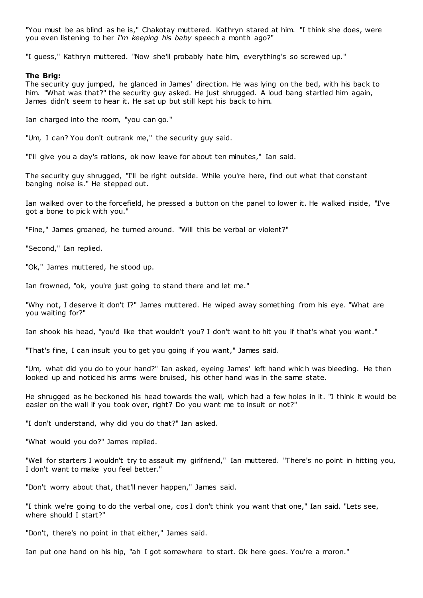"You must be as blind as he is," Chakotay muttered. Kathryn stared at him. "I think she does, were you even listening to her *I'm keeping his baby* speech a month ago?"

"I guess," Kathryn muttered. "Now she'll probably hate him, everything's so screwed up."

# **The Brig:**

The security guy jumped, he glanced in James' direction. He was lying on the bed, with his back to him. "What was that?" the security guy asked. He just shrugged. A loud bang startled him again, James didn't seem to hear it. He sat up but still kept his back to him.

Ian charged into the room, "you can go."

"Um, I can? You don't outrank me," the security guy said.

"I'll give you a day's rations, ok now leave for about ten minutes," Ian said.

The security guy shrugged, "I'll be right outside. While you're here, find out what that constant banging noise is." He stepped out.

Ian walked over to the forcefield, he pressed a button on the panel to lower it. He walked inside, "I've got a bone to pick with you."

"Fine," James groaned, he turned around. "Will this be verbal or violent?"

"Second," Ian replied.

"Ok," James muttered, he stood up.

Ian frowned, "ok, you're just going to stand there and let me."

"Why not, I deserve it don't I?" James muttered. He wiped away something from his eye. "What are you waiting for?"

Ian shook his head, "you'd like that wouldn't you? I don't want to hit you if that's what you want."

"That's fine, I can insult you to get you going if you want," James said.

"Um, what did you do to your hand?" Ian asked, eyeing James' left hand whic h was bleeding. He then looked up and noticed his arms were bruised, his other hand was in the same state.

He shrugged as he beckoned his head towards the wall, which had a few holes in it. "I think it would be easier on the wall if you took over, right? Do you want me to insult or not?"

"I don't understand, why did you do that?" Ian asked.

"What would you do?" James replied.

"Well for starters I wouldn't try to assault my girlfriend," Ian muttered. "There's no point in hitting you, I don't want to make you feel better."

"Don't worry about that, that'll never happen," James said.

"I think we're going to do the verbal one, cos I don't think you want that one," Ian said. "Lets see, where should I start?"

"Don't, there's no point in that either," James said.

Ian put one hand on his hip, "ah I got somewhere to start. Ok here goes. You're a moron."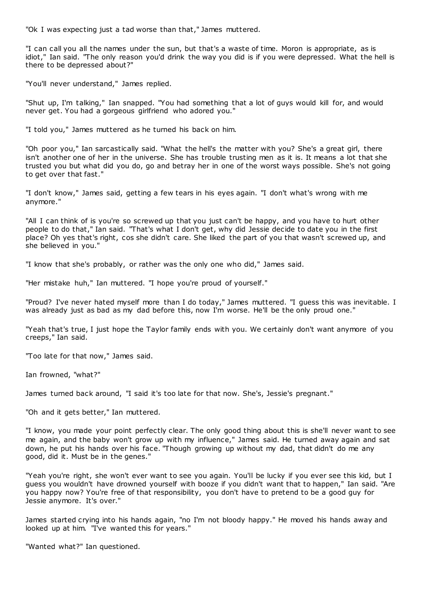"Ok I was expecting just a tad worse than that," James muttered.

"I can call you all the names under the sun, but that's a waste of time. Moron is appropriate, as is idiot," Ian said. "The only reason you'd drink the way you did is if you were depressed. What the hell is there to be depressed about?"

"You'll never understand," James replied.

"Shut up, I'm talking," Ian snapped. "You had something that a lot of guys would kill for, and would never get. You had a gorgeous girlfriend who adored you."

"I told you," James muttered as he turned his back on him.

"Oh poor you," Ian sarcastically said. "What the hell's the matter with you? She's a great girl, there isn't another one of her in the universe. She has trouble trusting men as it is. It means a lot that she trusted you but what did you do, go and betray her in one of the worst ways possible. She's not going to get over that fast."

"I don't know," James said, getting a few tears in his eyes again. "I don't what's wrong with me anymore."

"All I can think of is you're so screwed up that you just can't be happy, and you have to hurt other people to do that," Ian said. "That's what I don't get, why did Jessie decide to date you in the first place? Oh yes that's right, cos she didn't care. She liked the part of you that wasn't screwed up, and she believed in you."

"I know that she's probably, or rather was the only one who did," James said.

"Her mistake huh," Ian muttered. "I hope you're proud of yourself."

"Proud? I've never hated myself more than I do today," James muttered. "I guess this was inevitable. I was already just as bad as my dad before this, now I'm worse. He'll be the only proud one."

"Yeah that's true, I just hope the Taylor family ends with you. We certainly don't want anymore of you creeps," Ian said.

"Too late for that now," James said.

Ian frowned, "what?"

James turned back around, "I said it's too late for that now. She's, Jessie's pregnant."

"Oh and it gets better," Ian muttered.

"I know, you made your point perfectly clear. The only good thing about this is she'll never want to see me again, and the baby won't grow up with my influence," James said. He turned away again and sat down, he put his hands over his face. "Though growing up without my dad, that didn't do me any good, did it. Must be in the genes."

"Yeah you're right, she won't ever want to see you again. You'll be lucky if you ever see this kid, but I guess you wouldn't have drowned yourself with booze if you didn't want that to happen," Ian said. "Are you happy now? You're free of that responsibility, you don't have to pretend to be a good guy for Jessie anymore. It's over."

James started crying into his hands again, "no I'm not bloody happy." He moved his hands away and looked up at him. "I've wanted this for years."

"Wanted what?" Ian questioned.